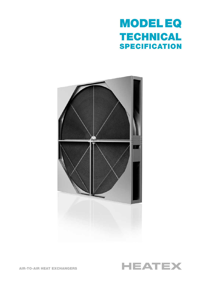# MODEL EQ TECHNICAL **SPECIFICATION**





AIR-TO-AIR HEAT EXCHANGERS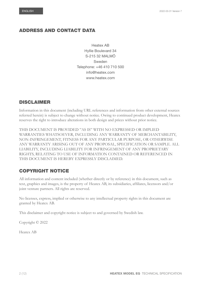# ADDRESS AND CONTACT DATA

Heatex AB Hyllie Boulevard 34 S-215 32 MALMÖ Sweden Telephone: +46 410 710 500 info@heatex.com www.heatex.com

# DISCLAIMER

Information in this document (including URL references and information from other external sources referred herein) is subject to change without notice. Owing to continued product development, Heatex reserves the right to introduce alterations in both design and prices without prior notice.

THIS DOCUMENT IS PROVIDED "AS IS" WITH NO EXPRESSED OR IMPLIED WARRANTIES WHATSOEVER, INCLUDING ANY WARRANTY OF MERCHANTABILITY, NON-INFRINGEMENT, FITNESS FOR ANY PARTICULAR PURPOSE, OR OTHERWISE ANY WARRANTY ARISING OUT OF ANY PROPOSAL, SPECIFICATION OR SAMPLE. ALL LIABILITY, INCLUDING LIABILITY FOR INFRINGEMENT OF ANY PROPRIETARY RIGHTS, RELATING TO USE OF INFORMATION CONTAINED OR REFERENCED IN THIS DOCUMENT IS HEREBY EXPRESSLY DISCLAIMED.

# COPYRIGHT NOTICE

All information and content included (whether directly or by reference) in this document, such as text, graphics and images, is the property of Heatex AB, its subsidiaries, affiliates, licensors and/or joint venture partners. All rights are reserved.

No licenses, express, implied or otherwise to any intellectual property rights in this document are granted by Heatex AB.

This disclaimer and copyright notice is subject to and governed by Swedish law.

Copyright © 2022

Heatex AB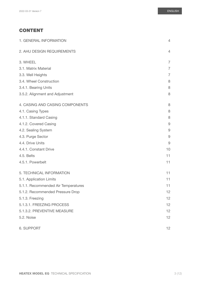# CONTENT

| 1. GENERAL INFORMATION              | 4               |
|-------------------------------------|-----------------|
| 2. AHU DESIGN REQUIREMENTS          | $\overline{4}$  |
| 3. WHEEL                            | $\overline{7}$  |
| 3.1. Matrix Material                | $\overline{7}$  |
| 3.3. Well Heights                   | $\overline{7}$  |
| 3.4. Wheel Construction             | 8               |
| 3.4.1. Bearing Units                | 8               |
| 3.5.2. Alignment and Adjustment     | 8               |
| 4. CASING AND CASING COMPONENTS     | 8               |
| 4.1. Casing Types                   | 8               |
| 4.1.1. Standard Casing              | 8               |
| 4.1.2. Covered Casing               | 9               |
| 4.2. Sealing System                 | $9\,$           |
| 4.3. Purge Sector                   | 9               |
| 4.4. Drive Units                    | $\overline{9}$  |
| 4.4.1. Constant Drive               | 10              |
| 4.5. Belts                          | 11              |
| 4.5.1. Powerbelt                    | 11              |
| 5. TECHNICAL INFORMATION            | 11              |
| 5.1. Application Limits             | 11              |
| 5.1.1. Recommended Air Temperatures | 11              |
| 5.1.2. Recommended Pressure Drop    | 12              |
| 5.1.3. Freezing                     | 12              |
| 5.1.3.1. FREEZING PROCESS           | 12              |
| 5.1.3.2. PREVENTIVE MEASURE         | 12              |
| 5.2. Noise                          | 12              |
| 6. SUPPORT                          | 12 <sup>2</sup> |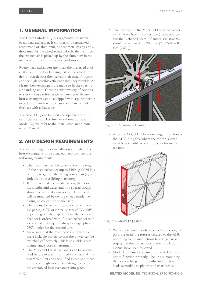# <span id="page-3-0"></span>1. GENERAL INFORMATION

The Heatex Model EQ is a segmented rotary airto-air heat exchanger. It consists of a segmented rotor made of aluminum, a sheet metal casing and a drive unit. As the wheel rotates slowly, the heat from the exhaust air is picked up by the aluminum in the matrix and trans- ferred to the cool supply air.

Rotary heat exchangers are often the preferred choice thanks to the low freezing risk as the wheels by defini- tion defrost themselves, their small footprint and the high sensible efficiency that they provide. All Heatex heat exchangers are made to fit the specific air handling unit. There is a wide variety of options to suit various performance requirements. Rotary heat exchangers can be equipped with a purge sector in order to minimize the cross contamination of fresh air with exhaust air.

The Model EQ can be used and operated only in verti- cal position. For further information about Model EQ we refer to the Installation and Maintenance Manual.

# 2. AHU DESIGN REQUIREMENTS

The air handling unit or installation area where the heat exchanger is to be installed needs to meet the following requirements:

- The floor must be able carry at least the weight of the heat exchanger (up to 1400 kg (3086 lb)), plus the weight of the lifting equipment (eg a fork lift or other lifting machinery).
- If there is a risk for condensation, the floor must withstand water and or a special trough should be ordered as an option. This trough will be mounted below the wheel, inside the casing, to collect the condensate.
- There must be an electrical outlet of either (single-phase) 230V, or (three-phase) 230V/400V, depending on what type of drive the heat exchanger is ordered with. A heat exchanger with a con- trol unit requires always a single phase 230V outlet for the control unit.
- Make sure that the main power supply outlet has a lockable switch, so that the power can be switched off securely. This is to enable a safe maintenance work environment.
- The Model EQ heat exchanger can be assembled before or after it is lifted into place. If it is assembled first and then lifted into place, there must be enough room for a lifting device to lift the assembled heat exchanger into place.

• The bearings of the Model EQ heat exchanger must always be easily accessible (above and below the L-shaped beam), if future adjustments should be required. (H:200 mm (7.87") W:200 mm (7.87"))



Figure 1. Adjustment bearings.

• After the Model EQ heat exchanger is built into the AHU, the gable where the motor is fitted must be accessible to secure access for maintenance.



Figure 2. Model EQ gables.

- Warranty terms are only valid as long as original parts are used, the rotor is secured to the AHU according to the instructions below (see next pages) and the instructions in the installation manual have been followed.
- Model EQ must be secured to the AHU in order to function properly. The unit surrounding the heat exchanger must withstand the force loads according to picture and chart below.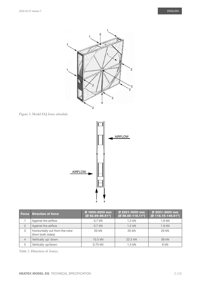

Figure 3. Model EQ force schedule.



| <b>Force</b>   | <b>Direction of force</b>                            | Ø 1600-2200 mm<br>$(Ø 62.99-86.61")$ | Ø 2201-3000 mm<br>$(Ø86.65-118.11")$ | Ø 3001-3800 mm<br>(Ø 118.15-149.61") |
|----------------|------------------------------------------------------|--------------------------------------|--------------------------------------|--------------------------------------|
|                | Against the airflow                                  | $0.7$ kN                             | $1.2$ kN                             | $1.9$ kN                             |
| $\overline{2}$ | Against the airflow                                  | $0.7$ kN                             | $1.2$ kN                             | $1.9$ kN                             |
| 3              | Horizontally out from the rotor<br>(from both sides) | 20 kN                                | 20 kN                                | 20 kN                                |
| $\overline{4}$ | Vertically up/ down                                  | $10.5$ kN                            | 22.5 kN                              | 36 kN                                |
| 5              | Vertically up/down                                   | 0.75 kN                              | $1.5$ kN                             | 6 kN                                 |

Table 1. Direction of forces.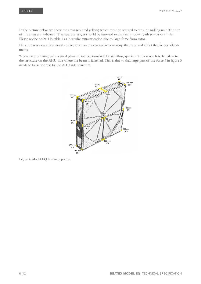In the picture below we show the areas (colored yellow) which must be secured to the air handling unit. The size of the areas are indicated. The heat exchanger should be fastened in the final product with screws or similar. Please notice point 4 in table 1 as it require extra attention due to large force from rotor.

Place the rotor on a horizontal surface since an uneven surface can warp the rotor and affect the factory adjustments.

When using a casing with vertical plane of intersection/side by side flow, special attention needs to be taken to the structure on the AHU side where the beam is fastened. This is due to that large part of the force 4 in figure 3 needs to be supported by the AHU side structure.



Figure 4. Model EQ fastening points.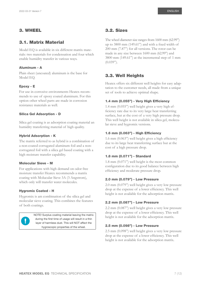# <span id="page-6-0"></span>3. WHEEL

# 3.1. Matrix Material

Model EQ is available in six different matrix materials: two materials for condensation and four which enable humidity transfer in various ways.

### Aluminum - A

Plain sheet (uncoated) aluminum is the base for Model EQ.

### Epoxy - E

For use in corrosive environments Heatex recommends to use of epoxy coated aluminum. For this option other wheel parts are made in corrosion resistance materials as well.

### Silica Gel Adsorption - D

Silica gel coating is as adsorption coating material an humidity transferring material of high quality.

### Hybrid Adsorption - K

The matrix referred to as hybrid is a combination of a non-coated corrugated aluminum foil and a noncorrugated foil with a silica gel based coating with a high moisture transfer capability.

### Molecular Sieve - M

For applications with high demand on odor free moisture transfer Heatex recommends a matrix coating with Molucular Sieve 3A (3 Angstrom), which only will transfer water molecules.

#### Hygromix Coated - H

Hygromix is am combination of the silica gel and molecular sieve coating. This combines the features of both coatings.



NOTE! Surplus coating material leaving the matrix during the first time of usage will result in a thin layer of harmless dust. This will NOT affect the hygroscopic properties of the wheel.

The wheel diameter size ranges from 1600 mm (62.99") up to 3800 mm (149.61") and with a fixed width of 200 mm (7.87") for all versions. The rotor can be made in any size between 1600 mm (62.99") and 3800 mm (149.61") at the incremental step of 1 mm  $(0.039")$ .

# 3.3. Well Heights

Heatex offers six different well heights for easy adaptation to the customer needs, all made from a unique set of tools to achieve optimal shape.

### 1.4 mm (0.055") - Very High Efficiency

1.4 mm (0.055") well height gives a very high efficiency rate due to its very large heat transferring surface, but at the cost of a very high pressure drop. This well height is not available in silica gel, molecular sieve and hygromix versions.

### 1.6 mm (0.063") - High Efficiency

1.6 mm (0.063") well height gives a high efficiency due to its large heat transferring surface but at the cost of a high pressure drop.

### 1.8 mm (0.071") - Standard

1.8 mm (0.071") well height is the most common configuration due to its good balance between high efficiency and moderate pressure drop.

### 2.0 mm (0.079") - Low Pressure

2.0 mm (0.079") well height gives a very low pressure drop at the expense of a lower efficiency. This well height is not available for the adsorption matrix.

### 2.2 mm (0.087") - Low Pressure

2.2 mm (0.087") well height gives a very low pressure drop at the expense of a lower efficiency. This well height is not available for the adsorption matrix.

### 2.5 mm (0.098") - Low Pressure

2.5 mm (0.098") well height gives a very low pressure drop at the expense of a lower efficiency. This well height is not available for the adsorption matrix.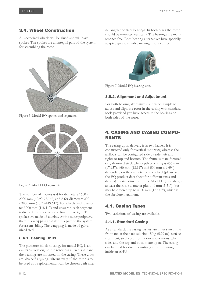<span id="page-7-0"></span>All sectorized wheels will be glued and will have spokes. The spokes are an integral part of the system for assembling the rotor.





The number of spokes is 4 for diameters 1600 - 2000 mm (62.99-78.74") and 8 for diameters 2001 - 3800 mm (78.78-149.61"). For wheels with diameter 3000 mm (118.11") and upwards, each segment is divided into two pieces to limit the weight. The spokes are made of aluzinc. At the outer periphery, there is a wrapping that also is a part of the system for assem- bling. The wrapping is made of galvanized steel.

## 3.4.1. Bearing Units

The plummer block housing, for model EQ, is an ex- ternal version, i.e. the rotor has a fixed shaft and the bearings are mounted on the casing. These units are also self-aligning. Alternatively, if the rotor is to be used as a replacement, it can be chosen with internal angular contact bearings. In both cases the rotor should be mounted vertically. The bearings are maintenance free. Both bearing alternatives have specially adapted grease suitable making it service free.



Figure 7. Model EQ bearing unit.

For both bearing alternatives is it rather simple to adjust and align the rotor in the casing with standard tools provided you have access to the bearings on both sides of the rotor.

# 4. CASING AND CASING COMPO-NENTS

The casing upon delivery is in two halves. It is constructed only for vertical mounting whereas the airflows can be configured side by side (left and right) or top and bottom. The frame is manufactured of galvanized steel. The depth of casing is 456 mm (17.95"), 460 mm (18.11") and 500 mm (19.69") depending on the diameter of the wheel (please see the EQ product data sheet for different sizes and depths). Casing dimensions for Model EQ are always at least the rotor diameter plus 140 mm (5.51"), but may be ordered up to 4000 mm (157.48"), which is the absolute maximum.

# 4.1. Casing Types

Two variations of casing are available.

# 4.1.1. Standard Casing

As a standard, the casing has just an inner skin at the front and at the back (aluzinc 150 g (5.29 oz) surface treatment, steel core) for indoor applications. The sides and the top and bottom are open. The casing can be used for duct mounting or for mounting inside an AHU.

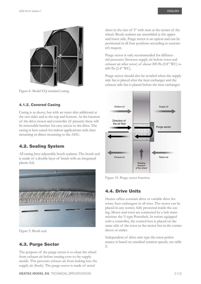<span id="page-8-0"></span>

Figure 8. Model EQ standard casing.

### 4.1.2. Covered Casing

Casing is as above, but with an outer skin additional at the two sides and at the top and bottom. At the location of the drive motor and controller (if present) there will be removable hatches for easy access to the drive. The casing is best suited for indoor applications with duct mounting or direct mounting to the AHU.

## 4.2. Sealing System

All casing have adjustable brush sealants. The brush seal is made of a double layer of brush with an integrated plastic foil.



Figure 9. Brush seal.

## 4.3. Purge Sector

The purpose of the purge sector is to clean the wheel from exhaust air before turning over to the supply airside. This prevents exhaust air from leaking into the supply air (fresh). The purge sector is made of metal

sheet in the size of 5° with start at the center of the wheel. Brush sealants are assembled at the upper and lower side. Purge sector is an option and can be positioned in all four positions according to customer's request.

Purge sector is only recommended for differential pressures (between supply air before rotor and exhaust air after rotor) of about 200 Pa (0.8" WC) to 600 Pa (2.4" WC).

Purge sector should also be avoided when the supply side fan is placed after the heat exchanger and the exhaust side fan is placed before the heat exchanger.



Figure 10. Purge sector function.

## 4.4. Drive Units

Heatex offers constant drive or variable drive for rotary heat exchangers in all sizes. The motor can be placed in any corner, fully protected inside the casing. Motor and rotor are connected by a belt transmission: the V-type Powerbelt. In rotors equipped with a controller, the control-box is placed on the same side of the rotor as the motor but in the corner above or under.

Independent of drive unit type the rotor performance is based on standard rotation speeds, see table 2.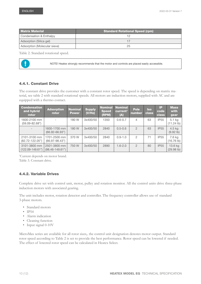<span id="page-9-0"></span>

| <b>Matrix Material</b>       | <b>Standard Rotational Speed (rpm)</b> |
|------------------------------|----------------------------------------|
| Condensation & Enthalpy      |                                        |
| Adsorption (Silica gel)      |                                        |
| Adsorption (Molecular sieve) | 25                                     |

Table 2. Standard rotational speed.



NOTE! Heatex strongly recommends that the motor and controls are placed easily accessible.

### 4.4.1. Constant Drive

The constant drive provides the customer with a constant rotor speed. The speed is depending on matrix material, see table 2 with standard rotational speeds. All motors are induction motors, supplied with AC and are equipped with a thermo contact.

| <b>Condensation</b><br>and hybrid<br>rotor | <b>Adsorption</b><br>rotor         | <b>Nominal</b><br><b>Power</b> | <b>Supply</b><br>(V/Hz) | <b>Nominal</b><br><b>Speed</b><br>(RPM) | <b>Nominal</b><br>current <sup>1</sup><br>(A) | <b>Pole</b><br>number | <b>Iso</b><br><b>class</b> | IP<br>code<br><b>class</b> | <b>Mass</b><br>with<br>gear      |
|--------------------------------------------|------------------------------------|--------------------------------|-------------------------|-----------------------------------------|-----------------------------------------------|-----------------------|----------------------------|----------------------------|----------------------------------|
| 1600-2100 mm<br>$(59.09 - 82.68")$         |                                    | 180 W                          | 3x400/50                | 1350                                    | $0.6 - 0.7$                                   | $\overline{4}$        | 63                         | <b>IP55</b>                | $5.1$ kg<br>$(11.24 \text{ lb})$ |
|                                            | 1600-1700 mm<br>$(66.92 - 66.93")$ | 180 W                          | 3x400/50                | 2840                                    | $0.5 - 0.6$                                   | $\overline{2}$        | 63                         | <b>IP55</b>                | $4.5$ kg<br>$(9.92$ lb)          |
| 2101-3100 mm<br>$(82.72 - 122.05")$        | 1701-2500 mm<br>$(66.97 - 98.43")$ | 370 W                          | 3x400/50                | 2840                                    | $0.9 - 1.0$                                   | $\overline{2}$        | 71                         | <b>IP55</b>                | 7.6 kg<br>$(16.76 \text{ lb})$   |
| 3101-3800 mm<br>$(122.09 - 149.61)$        | 2501-3800 mm<br>$(98.46 - 149.61)$ | 750 W                          | 3x400/50                | 2890                                    | $1.6 - 2.0$                                   | $\mathcal{P}$         | 80                         | <b>IP55</b>                | 13.6 kg<br>(29.98 lb)            |

<sup>1</sup>Current depends on motor brand. Table 3. Constant drive.

### 4.4.2. Variable Drives

Complete drive set with control unit, motor, pulley and rotation monitor. All the control units drive three-phase induction motors with associated gearing.

The unit includes motor, rotation detector and controller. The frequency controller allows use of standard 3-phase motors.

- Standard motors
- IP54
- Alarm indication
- Cleaning function
- Input signal 0-10V

MicroMax series are available for all rotor sizes,. the control unit designation denotes motor output. Standard rotor speed according to Table 2 is set to provide the best performance. Rotor speed can be lowered if needed. The effect of lowered rotor speed can be calculated in Heatex Select.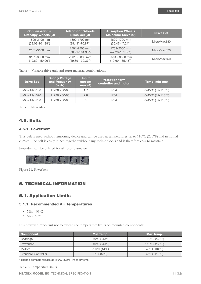<span id="page-10-0"></span>

| <b>Condensation &amp;</b>  | <b>Adsorption Wheels</b>            | <b>Adsorption Wheels</b>            | <b>Drive Set</b> |
|----------------------------|-------------------------------------|-------------------------------------|------------------|
| <b>Enthalpy Wheels (Ø)</b> | Silica Gel (Ø)                      | <b>Molecular Sieve (Ø)</b>          |                  |
| 1600-2100 mm               | 1600-1700 mm                        | 1600-1700 mm                        | MicroMax180      |
| $(59.09 - 101.38")$        | $(39.41" - 70.87")$                 | $(35.47 - 47.24")$                  |                  |
| 2101-3100 mm               | 1701-2500 mm<br>$(70.91 - 101.38")$ | 1701-2500 mm<br>$(47.28 - 101.38")$ | MicroMax370      |
| 3101-3800 mm               | 2501 - 3800 mm                      | 2501 - 3800 mm                      | MicroMax750      |
| $(19.69 - 59.06")$         | $(19.69 - 39.37")$                  | $(19.69 - 35.43")$                  |                  |

Table 4. Variable drive unit and rotor material combinations.

| <b>Drive Set</b> | <b>Supply Voltage</b><br>and frequency<br>$(V-Hz)$ | <b>Input</b><br>current<br>max(A) | <b>Protection form,</b><br>controller and motor | Temp. min-max                            |
|------------------|----------------------------------------------------|-----------------------------------|-------------------------------------------------|------------------------------------------|
| MicroMax180      | 1x230 - 50/60                                      | 1.7                               | IP <sub>54</sub>                                | $0 - 45^{\circ}$ C (32-113 $^{\circ}$ F) |
| MicroMax370      | $1x230 - 50/60$                                    | 2.8                               | IP <sub>54</sub>                                | $0 - 45^{\circ}$ C (32-113 $^{\circ}$ F) |
| MicroMax750      | $1x230 - 50/60$                                    | 5                                 | IP <sub>54</sub>                                | $0 - 45^{\circ}$ C (32-113 $^{\circ}$ F) |

Table 5. MicroMax.

# 4.5. Belts

### 4.5.1. Powerbelt

This belt is used without tensioning device and can be used at temperatures up to 110°C (230°F) and in humid climate. The belt is easily joined together without any tools or locks and is therefore easy to maintain.

Powerbelt can be offered for all rotor diameters.



Figure 11. Powerbelt.

# 5. TECHNICAL INFORMATION

# 5.1. Application Limits

### 5.1.1. Recommended Air Temperatures

- Min:  $-40^{\circ}$ C
- Max:  $65^{\circ}$ C

It is however important not to exceed the temperature limits on mounted components:

| Component                  | Min Temp.                          | Max Temp.                          |  |  |
|----------------------------|------------------------------------|------------------------------------|--|--|
| <b>Bearings</b>            | $-40^{\circ}$ C (-40 $^{\circ}$ F) | 110°C (230°F)                      |  |  |
| Powerbelt                  | $-40^{\circ}$ C (-40 $^{\circ}$ F) | $110^{\circ}$ C (230 $^{\circ}$ F) |  |  |
| Motor*                     | $-10^{\circ}$ C (14 $^{\circ}$ F)  | 40°C (104°F)                       |  |  |
| <b>Standard Controller</b> | $0^{\circ}$ C (32 $^{\circ}$ F)    | 45°C (113°F)                       |  |  |

\* Thermo contacts release at 150°C (302°F) inner air temp.

Table 6. Temperature limits.